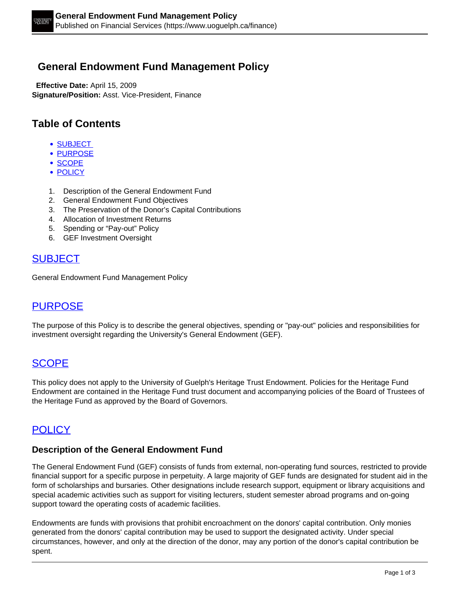## **General Endowment Fund Management Policy**

 **Effective Date:** April 15, 2009 **Signature/Position:** Asst. Vice-President, Finance

# **Table of Contents**

- SUBJECT
- PURPOSE
- SCOPE
- POLICY
- 1. Description of the General Endowment Fund
- 2. General Endowment Fund Objectives
- 3. The Preservation of the Donor's Capital Contributions
- 4. Allocation of Investment Returns
- 5. Spending or "Pay-out" Policy
- 6. GEF Investment Oversight

## **SUBJECT**

General Endowment Fund Management Policy

## PURPOSE

The purpose of this Policy is to describe the general objectives, spending or "pay-out" policies and responsibilities for investment oversight regarding the University's General Endowment (GEF).

### **SCOPE**

This policy does not apply to the University of Guelph's Heritage Trust Endowment. Policies for the Heritage Fund Endowment are contained in the Heritage Fund trust document and accompanying policies of the Board of Trustees of the Heritage Fund as approved by the Board of Governors.

# **POLICY**

#### **Description of the General Endowment Fund**

The General Endowment Fund (GEF) consists of funds from external, non-operating fund sources, restricted to provide financial support for a specific purpose in perpetuity. A large majority of GEF funds are designated for student aid in the form of scholarships and bursaries. Other designations include research support, equipment or library acquisitions and special academic activities such as support for visiting lecturers, student semester abroad programs and on-going support toward the operating costs of academic facilities.

Endowments are funds with provisions that prohibit encroachment on the donors' capital contribution. Only monies generated from the donors' capital contribution may be used to support the designated activity. Under special circumstances, however, and only at the direction of the donor, may any portion of the donor's capital contribution be spent.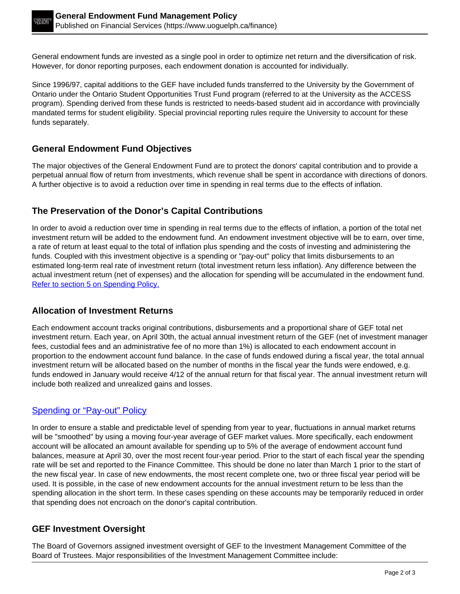General endowment funds are invested as a single pool in order to optimize net return and the diversification of risk. However, for donor reporting purposes, each endowment donation is accounted for individually.

Since 1996/97, capital additions to the GEF have included funds transferred to the University by the Government of Ontario under the Ontario Student Opportunities Trust Fund program (referred to at the University as the ACCESS program). Spending derived from these funds is restricted to needs-based student aid in accordance with provincially mandated terms for student eligibility. Special provincial reporting rules require the University to account for these funds separately.

### **General Endowment Fund Objectives**

The major objectives of the General Endowment Fund are to protect the donors' capital contribution and to provide a perpetual annual flow of return from investments, which revenue shall be spent in accordance with directions of donors. A further objective is to avoid a reduction over time in spending in real terms due to the effects of inflation.

### **The Preservation of the Donor's Capital Contributions**

In order to avoid a reduction over time in spending in real terms due to the effects of inflation, a portion of the total net investment return will be added to the endowment fund. An endowment investment objective will be to earn, over time, a rate of return at least equal to the total of inflation plus spending and the costs of investing and administering the funds. Coupled with this investment objective is a spending or "pay-out" policy that limits disbursements to an estimated long-term real rate of investment return (total investment return less inflation). Any difference between the actual investment return (net of expenses) and the allocation for spending will be accumulated in the endowment fund. Refer to section 5 on Spending Policy.

#### **Allocation of Investment Returns**

Each endowment account tracks original contributions, disbursements and a proportional share of GEF total net investment return. Each year, on April 30th, the actual annual investment return of the GEF (net of investment manager fees, custodial fees and an administrative fee of no more than 1%) is allocated to each endowment account in proportion to the endowment account fund balance. In the case of funds endowed during a fiscal year, the total annual investment return will be allocated based on the number of months in the fiscal year the funds were endowed, e.g. funds endowed in January would receive 4/12 of the annual return for that fiscal year. The annual investment return will include both realized and unrealized gains and losses.

### Spending or "Pay-out" Policy

In order to ensure a stable and predictable level of spending from year to year, fluctuations in annual market returns will be "smoothed" by using a moving four-year average of GEF market values. More specifically, each endowment account will be allocated an amount available for spending up to 5% of the average of endowment account fund balances, measure at April 30, over the most recent four-year period. Prior to the start of each fiscal year the spending rate will be set and reported to the Finance Committee. This should be done no later than March 1 prior to the start of the new fiscal year. In case of new endowments, the most recent complete one, two or three fiscal year period will be used. It is possible, in the case of new endowment accounts for the annual investment return to be less than the spending allocation in the short term. In these cases spending on these accounts may be temporarily reduced in order that spending does not encroach on the donor's capital contribution.

#### **GEF Investment Oversight**

The Board of Governors assigned investment oversight of GEF to the Investment Management Committee of the Board of Trustees. Major responsibilities of the Investment Management Committee include: